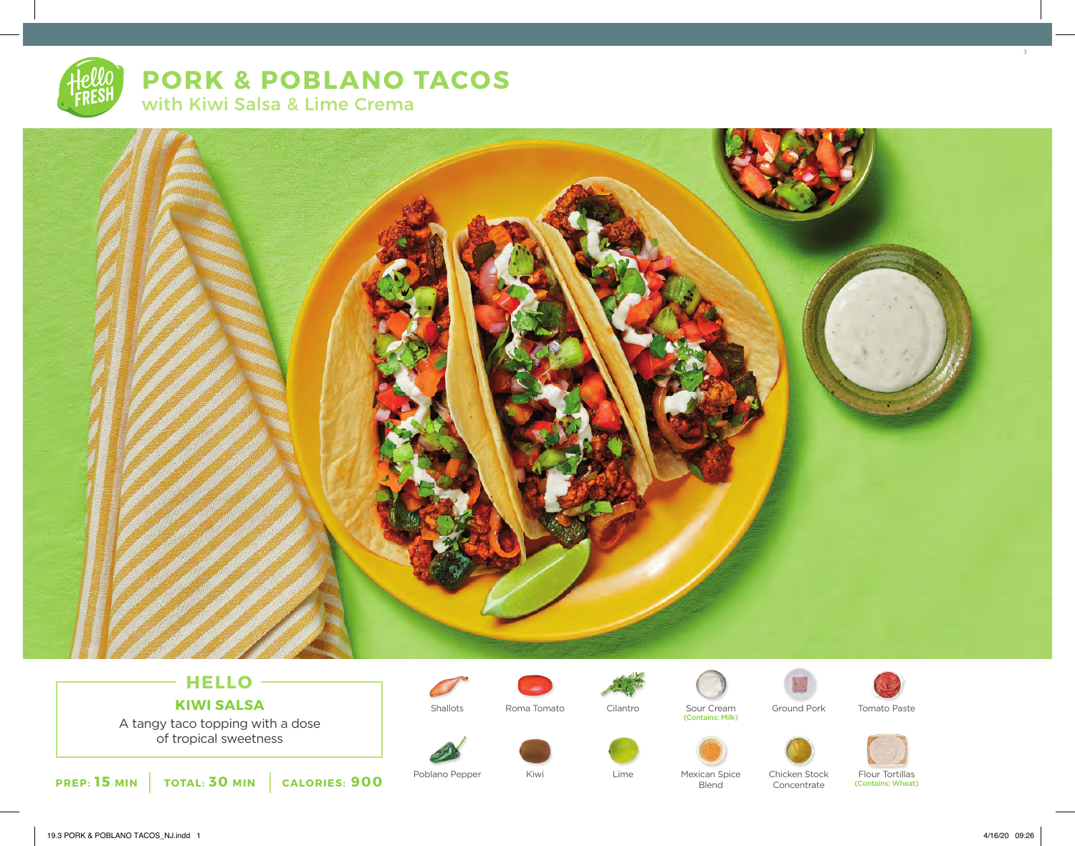# **PORK & POBLANO TACOS** with Kiwi Salsa & Lime Crema



## **HELLO KIWI SALSA**

A tangy taco topping with a dose of tropical sweetness



Poblano Pepper Mexican Spice



Kiwi



Shallots Sour Cream (Contains: Milk) Roma Tomato Cilantro Ground Pork Tomato Paste

Blend









Chicken Stock Concentrate

Flour Tortillas (Contains: Wheat) 3